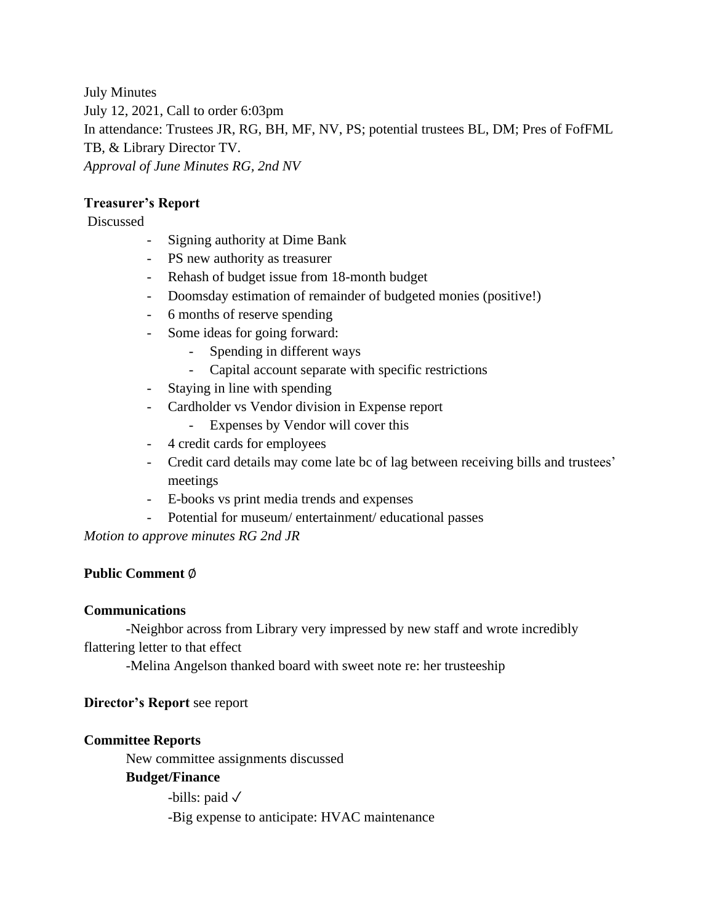July Minutes July 12, 2021, Call to order 6:03pm In attendance: Trustees JR, RG, BH, MF, NV, PS; potential trustees BL, DM; Pres of FofFML TB, & Library Director TV. *Approval of June Minutes RG, 2nd NV*

## **Treasurer's Report**

#### Discussed

- Signing authority at Dime Bank
- PS new authority as treasurer
- Rehash of budget issue from 18-month budget
- Doomsday estimation of remainder of budgeted monies (positive!)
- 6 months of reserve spending
- Some ideas for going forward:
	- Spending in different ways
	- Capital account separate with specific restrictions
- Staying in line with spending
- Cardholder vs Vendor division in Expense report
	- Expenses by Vendor will cover this
- 4 credit cards for employees
- Credit card details may come late bc of lag between receiving bills and trustees' meetings
- E-books vs print media trends and expenses
- Potential for museum/ entertainment/ educational passes

*Motion to approve minutes RG 2nd JR*

#### **Public Comment** ∅

#### **Communications**

-Neighbor across from Library very impressed by new staff and wrote incredibly flattering letter to that effect

-Melina Angelson thanked board with sweet note re: her trusteeship

#### **Director's Report** see report

#### **Committee Reports**

New committee assignments discussed

## **Budget/Finance**

-bills: paid  $\sqrt{}$ 

-Big expense to anticipate: HVAC maintenance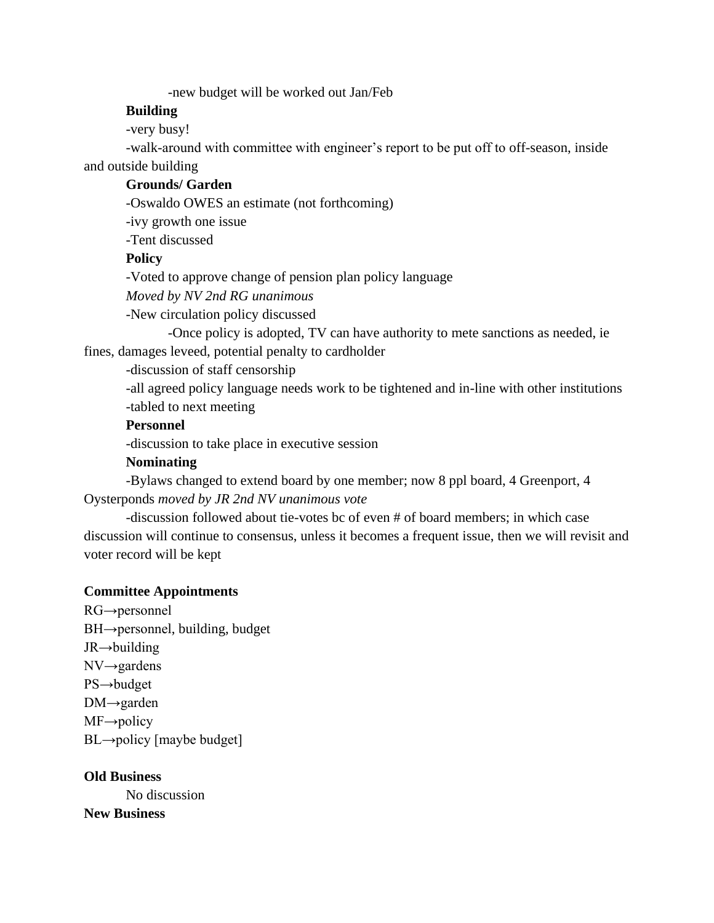-new budget will be worked out Jan/Feb

#### **Building**

-very busy!

-walk-around with committee with engineer's report to be put off to off-season, inside and outside building

#### **Grounds/ Garden**

-Oswaldo OWES an estimate (not forthcoming)

-ivy growth one issue

-Tent discussed

#### **Policy**

-Voted to approve change of pension plan policy language

*Moved by NV 2nd RG unanimous*

*-*New circulation policy discussed

-Once policy is adopted, TV can have authority to mete sanctions as needed, ie fines, damages leveed, potential penalty to cardholder

-discussion of staff censorship

-all agreed policy language needs work to be tightened and in-line with other institutions -tabled to next meeting

## **Personnel**

-discussion to take place in executive session

#### **Nominating**

-Bylaws changed to extend board by one member; now 8 ppl board, 4 Greenport, 4 Oysterponds *moved by JR 2nd NV unanimous vote*

-discussion followed about tie-votes bc of even # of board members; in which case discussion will continue to consensus, unless it becomes a frequent issue, then we will revisit and voter record will be kept

#### **Committee Appointments**

RG→personnel BH→personnel, building, budget JR→building NV→gardens PS→budget DM→garden  $MF \rightarrow$ policy  $BL \rightarrow$ policy [maybe budget]

**Old Business** No discussion **New Business**